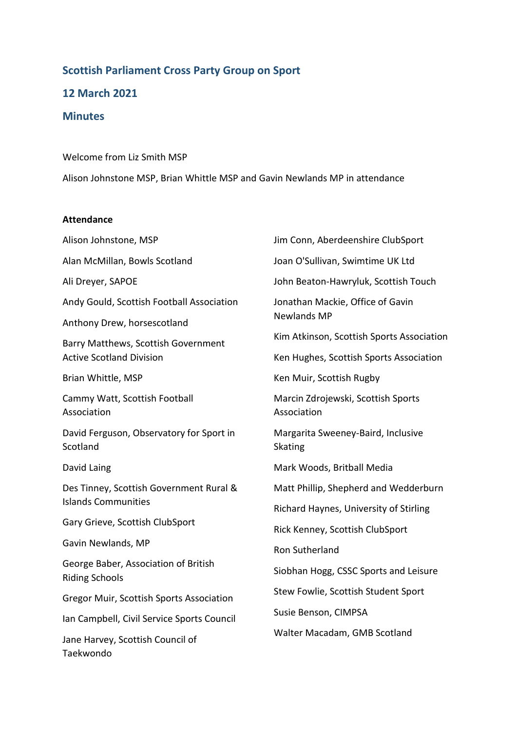# **Scottish Parliament Cross Party Group on Sport 12 March 2021 Minutes**

Welcome from Liz Smith MSP Alison Johnstone MSP, Brian Whittle MSP and Gavin Newlands MP in attendance

### **Attendance**

Alison Johnstone, MSP Alan McMillan, Bowls Scotland Ali Dreyer, SAPOE Andy Gould, Scottish Football Association Anthony Drew, horsescotland Barry Matthews, Scottish Government Active Scotland Division Brian Whittle, MSP Cammy Watt, Scottish Football Association David Ferguson, Observatory for Sport in **Scotland** David Laing Des Tinney, Scottish Government Rural & Islands Communities Gary Grieve, Scottish ClubSport Gavin Newlands, MP George Baber, Association of British Riding Schools Gregor Muir, Scottish Sports Association Ian Campbell, Civil Service Sports Council Jane Harvey, Scottish Council of Taekwondo

Jim Conn, Aberdeenshire ClubSport Joan O'Sullivan, Swimtime UK Ltd John Beaton-Hawryluk, Scottish Touch Jonathan Mackie, Office of Gavin Newlands MP Kim Atkinson, Scottish Sports Association Ken Hughes, Scottish Sports Association Ken Muir, Scottish Rugby Marcin Zdrojewski, Scottish Sports Association Margarita Sweeney-Baird, Inclusive Skating Mark Woods, Britball Media Matt Phillip, Shepherd and Wedderburn Richard Haynes, University of Stirling Rick Kenney, Scottish ClubSport Ron Sutherland Siobhan Hogg, CSSC Sports and Leisure Stew Fowlie, Scottish Student Sport Susie Benson, CIMPSA Walter Macadam, GMB Scotland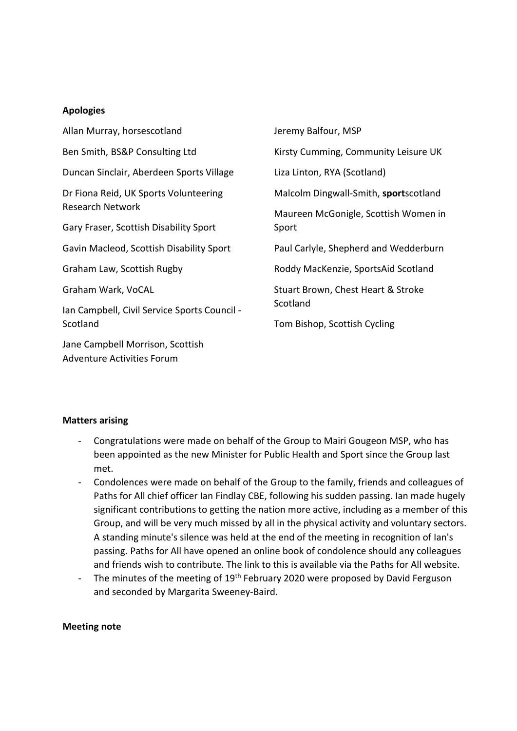## **Apologies**

| Allan Murray, horsescotland                  | Jeremy Balfour, MSP                   |
|----------------------------------------------|---------------------------------------|
| Ben Smith, BS&P Consulting Ltd               | Kirsty Cumming, Community Leisure UK  |
| Duncan Sinclair, Aberdeen Sports Village     | Liza Linton, RYA (Scotland)           |
| Dr Fiona Reid, UK Sports Volunteering        | Malcolm Dingwall-Smith, sportscotland |
| <b>Research Network</b>                      | Maureen McGonigle, Scottish Women in  |
| Gary Fraser, Scottish Disability Sport       | Sport                                 |
| Gavin Macleod, Scottish Disability Sport     | Paul Carlyle, Shepherd and Wedderburn |
| Graham Law, Scottish Rugby                   | Roddy MacKenzie, SportsAid Scotland   |
| Graham Wark, VoCAL                           | Stuart Brown, Chest Heart & Stroke    |
| Ian Campbell, Civil Service Sports Council - | Scotland                              |
| Scotland                                     | Tom Bishop, Scottish Cycling          |
| Jane Campbell Morrison, Scottish             |                                       |
| Adventure Activities Forum                   |                                       |

### **Matters arising**

- Congratulations were made on behalf of the Group to Mairi Gougeon MSP, who has been appointed as the new Minister for Public Health and Sport since the Group last met.
- Condolences were made on behalf of the Group to the family, friends and colleagues of Paths for All chief officer Ian Findlay CBE, following his sudden passing. Ian made hugely significant contributions to getting the nation more active, including as a member of this Group, and will be very much missed by all in the physical activity and voluntary sectors. A standing minute's silence was held at the end of the meeting in recognition of Ian's passing. Paths for All have opened an online book of condolence should any colleagues and friends wish to contribute. The link to this is available via the Paths for All website.
- The minutes of the meeting of 19<sup>th</sup> February 2020 were proposed by David Ferguson and seconded by Margarita Sweeney-Baird.

### **Meeting note**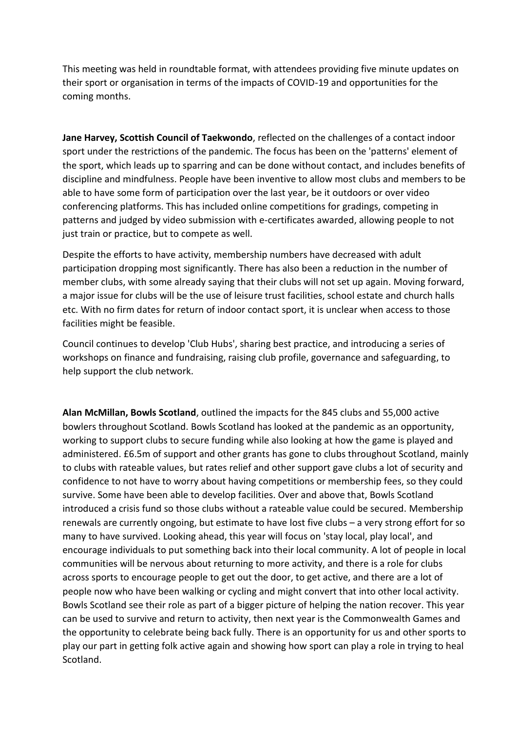This meeting was held in roundtable format, with attendees providing five minute updates on their sport or organisation in terms of the impacts of COVID-19 and opportunities for the coming months.

**Jane Harvey, Scottish Council of Taekwondo**, reflected on the challenges of a contact indoor sport under the restrictions of the pandemic. The focus has been on the 'patterns' element of the sport, which leads up to sparring and can be done without contact, and includes benefits of discipline and mindfulness. People have been inventive to allow most clubs and members to be able to have some form of participation over the last year, be it outdoors or over video conferencing platforms. This has included online competitions for gradings, competing in patterns and judged by video submission with e-certificates awarded, allowing people to not just train or practice, but to compete as well.

Despite the efforts to have activity, membership numbers have decreased with adult participation dropping most significantly. There has also been a reduction in the number of member clubs, with some already saying that their clubs will not set up again. Moving forward, a major issue for clubs will be the use of leisure trust facilities, school estate and church halls etc. With no firm dates for return of indoor contact sport, it is unclear when access to those facilities might be feasible.

Council continues to develop 'Club Hubs', sharing best practice, and introducing a series of workshops on finance and fundraising, raising club profile, governance and safeguarding, to help support the club network.

**Alan McMillan, Bowls Scotland**, outlined the impacts for the 845 clubs and 55,000 active bowlers throughout Scotland. Bowls Scotland has looked at the pandemic as an opportunity, working to support clubs to secure funding while also looking at how the game is played and administered. £6.5m of support and other grants has gone to clubs throughout Scotland, mainly to clubs with rateable values, but rates relief and other support gave clubs a lot of security and confidence to not have to worry about having competitions or membership fees, so they could survive. Some have been able to develop facilities. Over and above that, Bowls Scotland introduced a crisis fund so those clubs without a rateable value could be secured. Membership renewals are currently ongoing, but estimate to have lost five clubs – a very strong effort for so many to have survived. Looking ahead, this year will focus on 'stay local, play local', and encourage individuals to put something back into their local community. A lot of people in local communities will be nervous about returning to more activity, and there is a role for clubs across sports to encourage people to get out the door, to get active, and there are a lot of people now who have been walking or cycling and might convert that into other local activity. Bowls Scotland see their role as part of a bigger picture of helping the nation recover. This year can be used to survive and return to activity, then next year is the Commonwealth Games and the opportunity to celebrate being back fully. There is an opportunity for us and other sports to play our part in getting folk active again and showing how sport can play a role in trying to heal Scotland.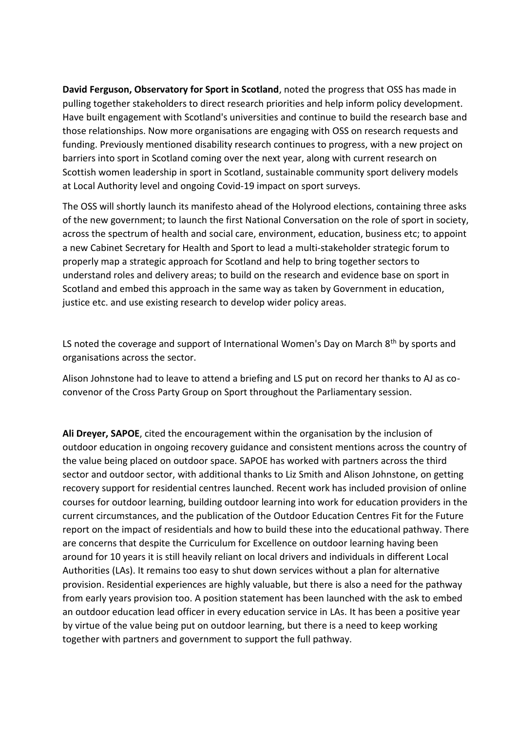**David Ferguson, Observatory for Sport in Scotland**, noted the progress that OSS has made in pulling together stakeholders to direct research priorities and help inform policy development. Have built engagement with Scotland's universities and continue to build the research base and those relationships. Now more organisations are engaging with OSS on research requests and funding. Previously mentioned disability research continues to progress, with a new project on barriers into sport in Scotland coming over the next year, along with current research on Scottish women leadership in sport in Scotland, sustainable community sport delivery models at Local Authority level and ongoing Covid-19 impact on sport surveys.

The OSS will shortly launch its manifesto ahead of the Holyrood elections, containing three asks of the new government; to launch the first National Conversation on the role of sport in society, across the spectrum of health and social care, environment, education, business etc; to appoint a new Cabinet Secretary for Health and Sport to lead a multi-stakeholder strategic forum to properly map a strategic approach for Scotland and help to bring together sectors to understand roles and delivery areas; to build on the research and evidence base on sport in Scotland and embed this approach in the same way as taken by Government in education, justice etc. and use existing research to develop wider policy areas.

LS noted the coverage and support of International Women's Day on March 8<sup>th</sup> by sports and organisations across the sector.

Alison Johnstone had to leave to attend a briefing and LS put on record her thanks to AJ as coconvenor of the Cross Party Group on Sport throughout the Parliamentary session.

**Ali Dreyer, SAPOE**, cited the encouragement within the organisation by the inclusion of outdoor education in ongoing recovery guidance and consistent mentions across the country of the value being placed on outdoor space. SAPOE has worked with partners across the third sector and outdoor sector, with additional thanks to Liz Smith and Alison Johnstone, on getting recovery support for residential centres launched. Recent work has included provision of online courses for outdoor learning, building outdoor learning into work for education providers in the current circumstances, and the publication of the Outdoor Education Centres Fit for the Future report on the impact of residentials and how to build these into the educational pathway. There are concerns that despite the Curriculum for Excellence on outdoor learning having been around for 10 years it is still heavily reliant on local drivers and individuals in different Local Authorities (LAs). It remains too easy to shut down services without a plan for alternative provision. Residential experiences are highly valuable, but there is also a need for the pathway from early years provision too. A position statement has been launched with the ask to embed an outdoor education lead officer in every education service in LAs. It has been a positive year by virtue of the value being put on outdoor learning, but there is a need to keep working together with partners and government to support the full pathway.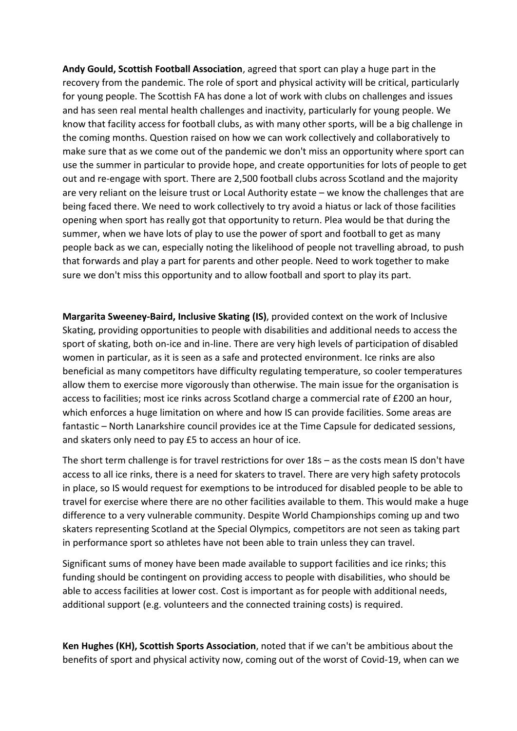**Andy Gould, Scottish Football Association**, agreed that sport can play a huge part in the recovery from the pandemic. The role of sport and physical activity will be critical, particularly for young people. The Scottish FA has done a lot of work with clubs on challenges and issues and has seen real mental health challenges and inactivity, particularly for young people. We know that facility access for football clubs, as with many other sports, will be a big challenge in the coming months. Question raised on how we can work collectively and collaboratively to make sure that as we come out of the pandemic we don't miss an opportunity where sport can use the summer in particular to provide hope, and create opportunities for lots of people to get out and re-engage with sport. There are 2,500 football clubs across Scotland and the majority are very reliant on the leisure trust or Local Authority estate – we know the challenges that are being faced there. We need to work collectively to try avoid a hiatus or lack of those facilities opening when sport has really got that opportunity to return. Plea would be that during the summer, when we have lots of play to use the power of sport and football to get as many people back as we can, especially noting the likelihood of people not travelling abroad, to push that forwards and play a part for parents and other people. Need to work together to make sure we don't miss this opportunity and to allow football and sport to play its part.

**Margarita Sweeney-Baird, Inclusive Skating (IS)**, provided context on the work of Inclusive Skating, providing opportunities to people with disabilities and additional needs to access the sport of skating, both on-ice and in-line. There are very high levels of participation of disabled women in particular, as it is seen as a safe and protected environment. Ice rinks are also beneficial as many competitors have difficulty regulating temperature, so cooler temperatures allow them to exercise more vigorously than otherwise. The main issue for the organisation is access to facilities; most ice rinks across Scotland charge a commercial rate of £200 an hour, which enforces a huge limitation on where and how IS can provide facilities. Some areas are fantastic – North Lanarkshire council provides ice at the Time Capsule for dedicated sessions, and skaters only need to pay £5 to access an hour of ice.

The short term challenge is for travel restrictions for over 18s – as the costs mean IS don't have access to all ice rinks, there is a need for skaters to travel. There are very high safety protocols in place, so IS would request for exemptions to be introduced for disabled people to be able to travel for exercise where there are no other facilities available to them. This would make a huge difference to a very vulnerable community. Despite World Championships coming up and two skaters representing Scotland at the Special Olympics, competitors are not seen as taking part in performance sport so athletes have not been able to train unless they can travel.

Significant sums of money have been made available to support facilities and ice rinks; this funding should be contingent on providing access to people with disabilities, who should be able to access facilities at lower cost. Cost is important as for people with additional needs, additional support (e.g. volunteers and the connected training costs) is required.

**Ken Hughes (KH), Scottish Sports Association**, noted that if we can't be ambitious about the benefits of sport and physical activity now, coming out of the worst of Covid-19, when can we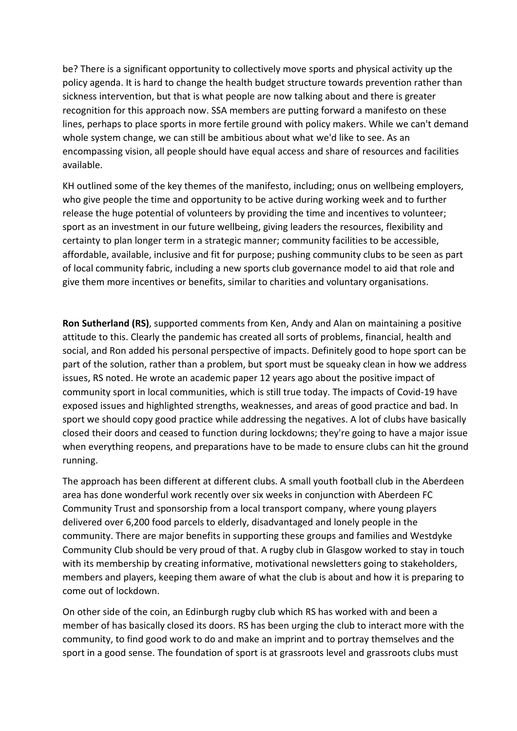be? There is a significant opportunity to collectively move sports and physical activity up the policy agenda. It is hard to change the health budget structure towards prevention rather than sickness intervention, but that is what people are now talking about and there is greater recognition for this approach now. SSA members are putting forward a manifesto on these lines, perhaps to place sports in more fertile ground with policy makers. While we can't demand whole system change, we can still be ambitious about what we'd like to see. As an encompassing vision, all people should have equal access and share of resources and facilities available.

KH outlined some of the key themes of the manifesto, including; onus on wellbeing employers, who give people the time and opportunity to be active during working week and to further release the huge potential of volunteers by providing the time and incentives to volunteer; sport as an investment in our future wellbeing, giving leaders the resources, flexibility and certainty to plan longer term in a strategic manner; community facilities to be accessible, affordable, available, inclusive and fit for purpose; pushing community clubs to be seen as part of local community fabric, including a new sports club governance model to aid that role and give them more incentives or benefits, similar to charities and voluntary organisations.

**Ron Sutherland (RS)**, supported comments from Ken, Andy and Alan on maintaining a positive attitude to this. Clearly the pandemic has created all sorts of problems, financial, health and social, and Ron added his personal perspective of impacts. Definitely good to hope sport can be part of the solution, rather than a problem, but sport must be squeaky clean in how we address issues, RS noted. He wrote an academic paper 12 years ago about the positive impact of community sport in local communities, which is still true today. The impacts of Covid-19 have exposed issues and highlighted strengths, weaknesses, and areas of good practice and bad. In sport we should copy good practice while addressing the negatives. A lot of clubs have basically closed their doors and ceased to function during lockdowns; they're going to have a major issue when everything reopens, and preparations have to be made to ensure clubs can hit the ground running.

The approach has been different at different clubs. A small youth football club in the Aberdeen area has done wonderful work recently over six weeks in conjunction with Aberdeen FC Community Trust and sponsorship from a local transport company, where young players delivered over 6,200 food parcels to elderly, disadvantaged and lonely people in the community. There are major benefits in supporting these groups and families and Westdyke Community Club should be very proud of that. A rugby club in Glasgow worked to stay in touch with its membership by creating informative, motivational newsletters going to stakeholders, members and players, keeping them aware of what the club is about and how it is preparing to come out of lockdown.

On other side of the coin, an Edinburgh rugby club which RS has worked with and been a member of has basically closed its doors. RS has been urging the club to interact more with the community, to find good work to do and make an imprint and to portray themselves and the sport in a good sense. The foundation of sport is at grassroots level and grassroots clubs must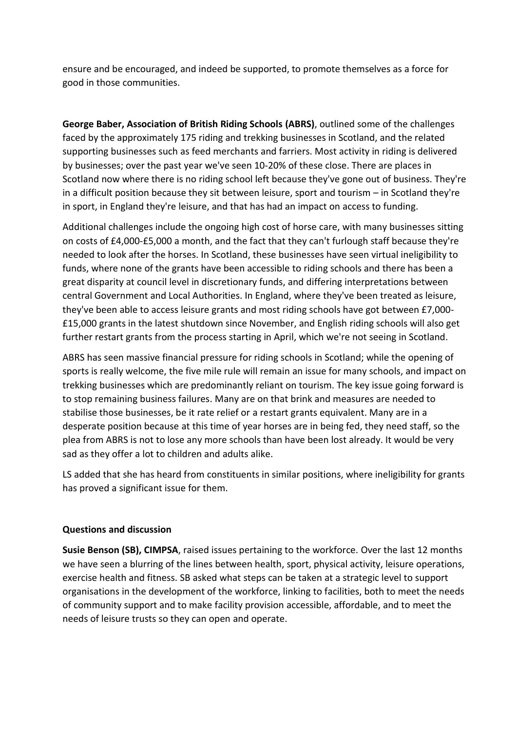ensure and be encouraged, and indeed be supported, to promote themselves as a force for good in those communities.

**George Baber, Association of British Riding Schools (ABRS)**, outlined some of the challenges faced by the approximately 175 riding and trekking businesses in Scotland, and the related supporting businesses such as feed merchants and farriers. Most activity in riding is delivered by businesses; over the past year we've seen 10-20% of these close. There are places in Scotland now where there is no riding school left because they've gone out of business. They're in a difficult position because they sit between leisure, sport and tourism – in Scotland they're in sport, in England they're leisure, and that has had an impact on access to funding.

Additional challenges include the ongoing high cost of horse care, with many businesses sitting on costs of £4,000-£5,000 a month, and the fact that they can't furlough staff because they're needed to look after the horses. In Scotland, these businesses have seen virtual ineligibility to funds, where none of the grants have been accessible to riding schools and there has been a great disparity at council level in discretionary funds, and differing interpretations between central Government and Local Authorities. In England, where they've been treated as leisure, they've been able to access leisure grants and most riding schools have got between £7,000- £15,000 grants in the latest shutdown since November, and English riding schools will also get further restart grants from the process starting in April, which we're not seeing in Scotland.

ABRS has seen massive financial pressure for riding schools in Scotland; while the opening of sports is really welcome, the five mile rule will remain an issue for many schools, and impact on trekking businesses which are predominantly reliant on tourism. The key issue going forward is to stop remaining business failures. Many are on that brink and measures are needed to stabilise those businesses, be it rate relief or a restart grants equivalent. Many are in a desperate position because at this time of year horses are in being fed, they need staff, so the plea from ABRS is not to lose any more schools than have been lost already. It would be very sad as they offer a lot to children and adults alike.

LS added that she has heard from constituents in similar positions, where ineligibility for grants has proved a significant issue for them.

### **Questions and discussion**

**Susie Benson (SB), CIMPSA**, raised issues pertaining to the workforce. Over the last 12 months we have seen a blurring of the lines between health, sport, physical activity, leisure operations, exercise health and fitness. SB asked what steps can be taken at a strategic level to support organisations in the development of the workforce, linking to facilities, both to meet the needs of community support and to make facility provision accessible, affordable, and to meet the needs of leisure trusts so they can open and operate.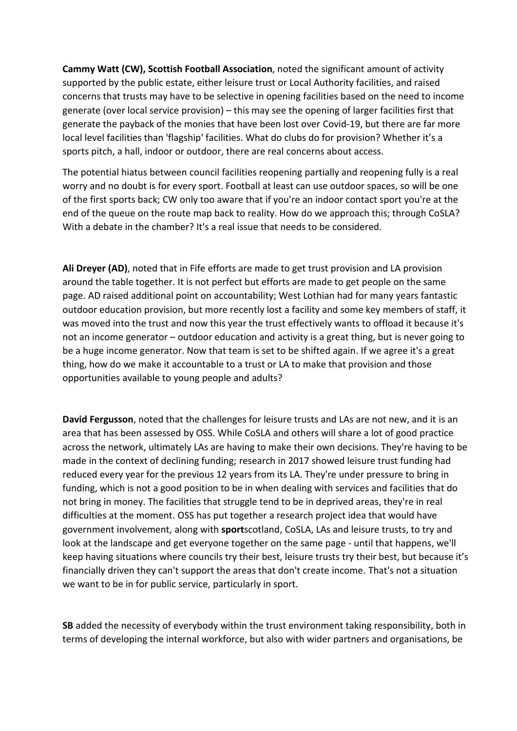**Cammy Watt (CW), Scottish Football Association**, noted the significant amount of activity supported by the public estate, either leisure trust or Local Authority facilities, and raised concerns that trusts may have to be selective in opening facilities based on the need to income generate (over local service provision) – this may see the opening of larger facilities first that generate the payback of the monies that have been lost over Covid-19, but there are far more local level facilities than 'flagship' facilities. What do clubs do for provision? Whether it's a sports pitch, a hall, indoor or outdoor, there are real concerns about access.

The potential hiatus between council facilities reopening partially and reopening fully is a real worry and no doubt is for every sport. Football at least can use outdoor spaces, so will be one of the first sports back; CW only too aware that if you're an indoor contact sport you're at the end of the queue on the route map back to reality. How do we approach this; through CoSLA? With a debate in the chamber? It's a real issue that needs to be considered.

**Ali Dreyer (AD)**, noted that in Fife efforts are made to get trust provision and LA provision around the table together. It is not perfect but efforts are made to get people on the same page. AD raised additional point on accountability; West Lothian had for many years fantastic outdoor education provision, but more recently lost a facility and some key members of staff, it was moved into the trust and now this year the trust effectively wants to offload it because it's not an income generator – outdoor education and activity is a great thing, but is never going to be a huge income generator. Now that team is set to be shifted again. If we agree it's a great thing, how do we make it accountable to a trust or LA to make that provision and those opportunities available to young people and adults?

**David Fergusson**, noted that the challenges for leisure trusts and LAs are not new, and it is an area that has been assessed by OSS. While CoSLA and others will share a lot of good practice across the network, ultimately LAs are having to make their own decisions. They're having to be made in the context of declining funding; research in 2017 showed leisure trust funding had reduced every year for the previous 12 years from its LA. They're under pressure to bring in funding, which is not a good position to be in when dealing with services and facilities that do not bring in money. The facilities that struggle tend to be in deprived areas, they're in real difficulties at the moment. OSS has put together a research project idea that would have government involvement, along with **sport**scotland, CoSLA, LAs and leisure trusts, to try and look at the landscape and get everyone together on the same page - until that happens, we'll keep having situations where councils try their best, leisure trusts try their best, but because it's financially driven they can't support the areas that don't create income. That's not a situation we want to be in for public service, particularly in sport.

**SB** added the necessity of everybody within the trust environment taking responsibility, both in terms of developing the internal workforce, but also with wider partners and organisations, be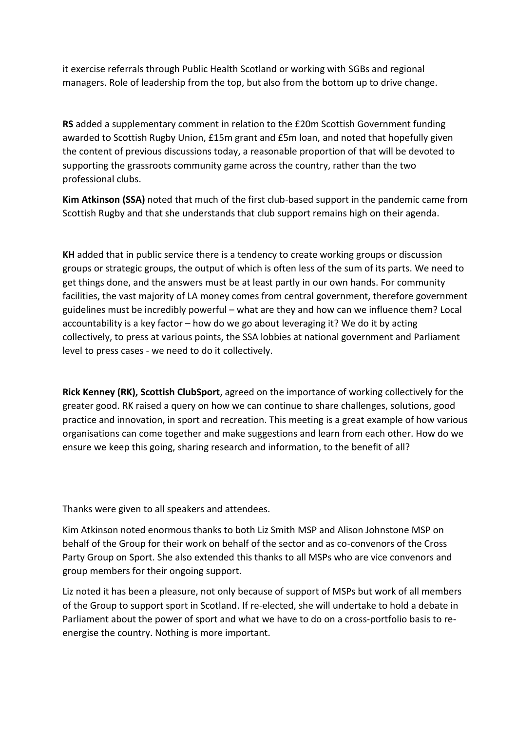it exercise referrals through Public Health Scotland or working with SGBs and regional managers. Role of leadership from the top, but also from the bottom up to drive change.

**RS** added a supplementary comment in relation to the £20m Scottish Government funding awarded to Scottish Rugby Union, £15m grant and £5m loan, and noted that hopefully given the content of previous discussions today, a reasonable proportion of that will be devoted to supporting the grassroots community game across the country, rather than the two professional clubs.

**Kim Atkinson (SSA)** noted that much of the first club-based support in the pandemic came from Scottish Rugby and that she understands that club support remains high on their agenda.

**KH** added that in public service there is a tendency to create working groups or discussion groups or strategic groups, the output of which is often less of the sum of its parts. We need to get things done, and the answers must be at least partly in our own hands. For community facilities, the vast majority of LA money comes from central government, therefore government guidelines must be incredibly powerful – what are they and how can we influence them? Local accountability is a key factor – how do we go about leveraging it? We do it by acting collectively, to press at various points, the SSA lobbies at national government and Parliament level to press cases - we need to do it collectively.

**Rick Kenney (RK), Scottish ClubSport**, agreed on the importance of working collectively for the greater good. RK raised a query on how we can continue to share challenges, solutions, good practice and innovation, in sport and recreation. This meeting is a great example of how various organisations can come together and make suggestions and learn from each other. How do we ensure we keep this going, sharing research and information, to the benefit of all?

Thanks were given to all speakers and attendees.

Kim Atkinson noted enormous thanks to both Liz Smith MSP and Alison Johnstone MSP on behalf of the Group for their work on behalf of the sector and as co-convenors of the Cross Party Group on Sport. She also extended this thanks to all MSPs who are vice convenors and group members for their ongoing support.

Liz noted it has been a pleasure, not only because of support of MSPs but work of all members of the Group to support sport in Scotland. If re-elected, she will undertake to hold a debate in Parliament about the power of sport and what we have to do on a cross-portfolio basis to reenergise the country. Nothing is more important.